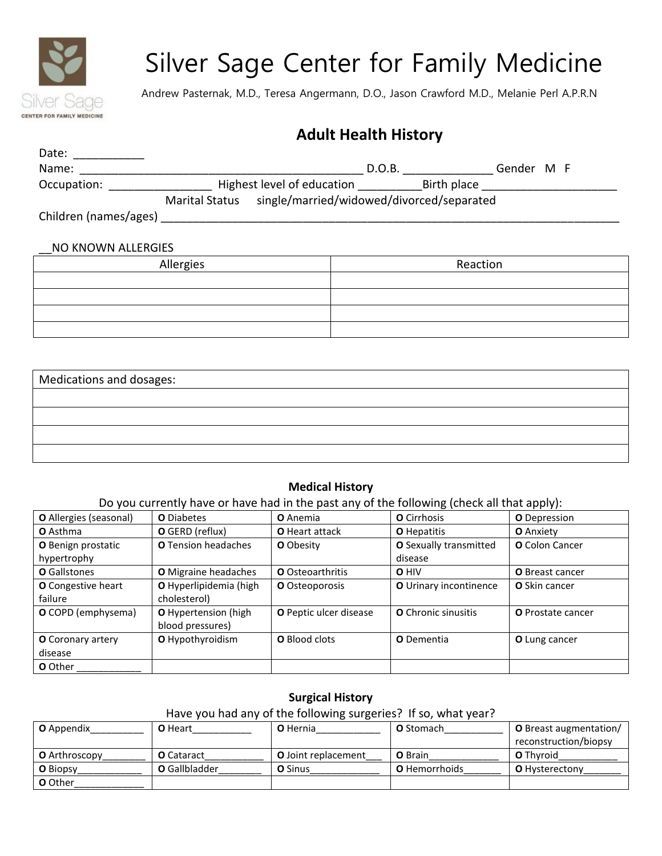

# Silver Sage Center for Family Medicine

Andrew Pasternak, M.D., Teresa Angermann, D.O., Jason Crawford M.D., Melanie Perl A.P.R.N

## **Adult Health History**

| Date:                 |                       |                                           |        |             |            |  |
|-----------------------|-----------------------|-------------------------------------------|--------|-------------|------------|--|
| Name:                 |                       |                                           | D.O.B. |             | Gender M F |  |
| Occupation:           |                       | Highest level of education                |        | Birth place |            |  |
|                       | <b>Marital Status</b> | single/married/widowed/divorced/separated |        |             |            |  |
| Children (names/ages) |                       |                                           |        |             |            |  |

#### \_\_NO KNOWN ALLERGIES

| Allergies | Reaction |
|-----------|----------|
|           |          |
|           |          |
|           |          |
|           |          |

| Medications and dosages: |  |
|--------------------------|--|
|                          |  |
|                          |  |
|                          |  |
|                          |  |
|                          |  |

#### **Medical History**

Do you currently have or have had in the past any of the following (check all that apply):

| O Allergies (seasonal)   | <b>O</b> Diabetes      | <b>O</b> Anemia         | <b>O</b> Cirrhosis     | <b>O</b> Depression      |
|--------------------------|------------------------|-------------------------|------------------------|--------------------------|
| <b>O</b> Asthma          | O GERD (reflux)        | O Heart attack          | <b>O</b> Hepatitis     | <b>O</b> Anxiety         |
| O Benign prostatic       | O Tension headaches    | <b>O</b> Obesity        | O Sexually transmitted | <b>O</b> Colon Cancer    |
| hypertrophy              |                        |                         | disease                |                          |
| O Gallstones             | O Migraine headaches   | <b>O</b> Osteoarthritis | O HIV                  | <b>O</b> Breast cancer   |
| O Congestive heart       | O Hyperlipidemia (high | O Osteoporosis          | O Urinary incontinence | <b>O</b> Skin cancer     |
| failure                  | cholesterol)           |                         |                        |                          |
| O COPD (emphysema)       | O Hypertension (high   | O Peptic ulcer disease  | O Chronic sinusitis    | <b>O</b> Prostate cancer |
|                          | blood pressures)       |                         |                        |                          |
| <b>O</b> Coronary artery | O Hypothyroidism       | <b>O</b> Blood clots    | <b>O</b> Dementia      | O Lung cancer            |
| disease                  |                        |                         |                        |                          |
| <b>O</b> Other           |                        |                         |                        |                          |

#### **Surgical History**

| Have you had any of the following surgeries? If so, what year? |                      |                            |                      |                               |  |
|----------------------------------------------------------------|----------------------|----------------------------|----------------------|-------------------------------|--|
| <b>O</b> Appendix                                              | <b>O</b> Heart       | <b>O</b> Hernia            | <b>O</b> Stomach     | <b>O</b> Breast augmentation/ |  |
|                                                                |                      |                            |                      | reconstruction/biopsy         |  |
| <b>O</b> Arthroscopy                                           | <b>O</b> Cataract    | <b>O</b> Joint replacement | <b>O</b> Brain       | <b>O</b> Thyroid              |  |
| <b>O</b> Biopsy                                                | <b>O</b> Gallbladder | <b>O</b> Sinus             | <b>O</b> Hemorrhoids | <b>O</b> Hysterectony         |  |
| <b>O</b> Other                                                 |                      |                            |                      |                               |  |